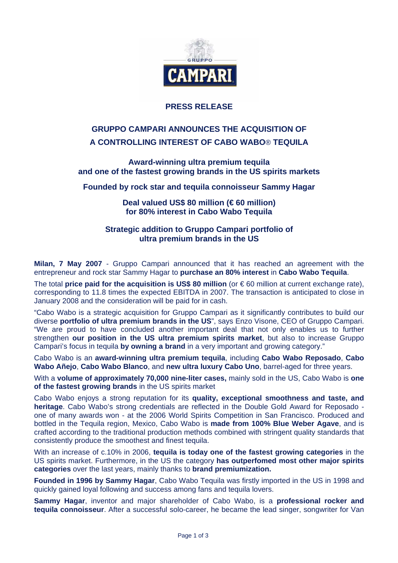

# **PRESS RELEASE**

# **GRUPPO CAMPARI ANNOUNCES THE ACQUISITION OF A CONTROLLING INTEREST OF CABO WABO**® **TEQUILA**

**Award-winning ultra premium tequila and one of the fastest growing brands in the US spirits markets** 

**Founded by rock star and tequila connoisseur Sammy Hagar** 

**Deal valued US\$ 80 million (€ 60 million) for 80% interest in Cabo Wabo Tequila** 

**Strategic addition to Gruppo Campari portfolio of ultra premium brands in the US** 

**Milan, 7 May 2007** - Gruppo Campari announced that it has reached an agreement with the entrepreneur and rock star Sammy Hagar to **purchase an 80% interest** in **Cabo Wabo Tequila**.

The total **price paid for the acquisition is US\$ 80 million** (or € 60 million at current exchange rate), corresponding to 11.8 times the expected EBITDA in 2007. The transaction is anticipated to close in January 2008 and the consideration will be paid for in cash.

"Cabo Wabo is a strategic acquisition for Gruppo Campari as it significantly contributes to build our diverse **portfolio of ultra premium brands in the US**", says Enzo Visone, CEO of Gruppo Campari. "We are proud to have concluded another important deal that not only enables us to further strengthen **our position in the US ultra premium spirits market**, but also to increase Gruppo Campari's focus in tequila **by owning a brand** in a very important and growing category."

Cabo Wabo is an **award-winning ultra premium tequila**, including **Cabo Wabo Reposado**, **Cabo Wabo Añejo**, **Cabo Wabo Blanco**, and **new ultra luxury Cabo Uno**, barrel-aged for three years.

With a **volume of approximately 70,000 nine-liter cases,** mainly sold in the US, Cabo Wabo is **one of the fastest growing brands** in the US spirits market

Cabo Wabo enjoys a strong reputation for its **quality, exceptional smoothness and taste, and heritage**. Cabo Wabo's strong credentials are reflected in the Double Gold Award for Reposado one of many awards won - at the 2006 World Spirits Competition in San Francisco. Produced and bottled in the Tequila region, Mexico, Cabo Wabo is **made from 100% Blue Weber Agave**, and is crafted according to the traditional production methods combined with stringent quality standards that consistently produce the smoothest and finest tequila.

With an increase of c.10% in 2006, **tequila is today one of the fastest growing categories** in the US spirits market. Furthermore, in the US the category **has outperfomed most other major spirits categories** over the last years, mainly thanks to **brand premiumization.**

**Founded in 1996 by Sammy Hagar**, Cabo Wabo Tequila was firstly imported in the US in 1998 and quickly gained loyal following and success among fans and tequila lovers.

**Sammy Hagar**, inventor and major shareholder of Cabo Wabo, is a **professional rocker and tequila connoisseur**. After a successful solo-career, he became the lead singer, songwriter for Van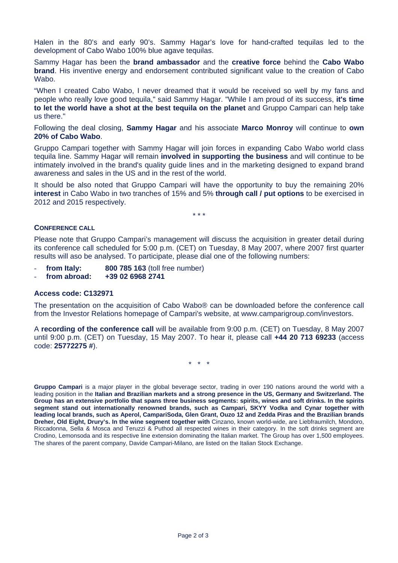Halen in the 80's and early 90's. Sammy Hagar's love for hand-crafted tequilas led to the development of Cabo Wabo 100% blue agave tequilas.

Sammy Hagar has been the **brand ambassador** and the **creative force** behind the **Cabo Wabo brand**. His inventive energy and endorsement contributed significant value to the creation of Cabo Wabo.

"When I created Cabo Wabo, I never dreamed that it would be received so well by my fans and people who really love good tequila," said Sammy Hagar. "While I am proud of its success, **it's time to let the world have a shot at the best tequila on the planet** and Gruppo Campari can help take us there."

Following the deal closing, **Sammy Hagar** and his associate **Marco Monroy** will continue to **own 20% of Cabo Wabo**.

Gruppo Campari together with Sammy Hagar will join forces in expanding Cabo Wabo world class tequila line. Sammy Hagar will remain **involved in supporting the business** and will continue to be intimately involved in the brand's quality guide lines and in the marketing designed to expand brand awareness and sales in the US and in the rest of the world.

It should be also noted that Gruppo Campari will have the opportunity to buy the remaining 20% **interest** in Cabo Wabo in two tranches of 15% and 5% **through call / put options** to be exercised in 2012 and 2015 respectively.

\* \* \*

## **CONFERENCE CALL**

Please note that Gruppo Campari's management will discuss the acquisition in greater detail during its conference call scheduled for 5:00 p.m. (CET) on Tuesday, 8 May 2007, where 2007 first quarter results will aso be analysed. To participate, please dial one of the following numbers:

- **from Italy: 800 785 163** (toll free number)
- **from abroad: +39 02 6968 2741**

### **Access code: C132971**

The presentation on the acquisition of Cabo Wabo® can be downloaded before the conference call from the Investor Relations homepage of Campari's website, at www.camparigroup.com/investors.

A **recording of the conference call** will be available from 9:00 p.m. (CET) on Tuesday, 8 May 2007 until 9:00 p.m. (CET) on Tuesday, 15 May 2007. To hear it, please call **+44 20 713 69233** (access code: **25772275 #**).

\* \* \*

**Gruppo Campari** is a major player in the global beverage sector, trading in over 190 nations around the world with a leading position in the **Italian and Brazilian markets and a strong presence in the US, Germany and Switzerland. The Group has an extensive portfolio that spans three business segments: spirits, wines and soft drinks. In the spirits segment stand out internationally renowned brands, such as Campari, SKYY Vodka and Cynar together with leading local brands, such as Aperol, CampariSoda, Glen Grant, Ouzo 12 and Zedda Piras and the Brazilian brands Dreher, Old Eight, Drury's. In the wine segment together with** Cinzano, known world-wide, are Liebfraumilch, Mondoro, Riccadonna, Sella & Mosca and Teruzzi & Puthod all respected wines in their category. In the soft drinks segment are Crodino, Lemonsoda and its respective line extension dominating the Italian market. The Group has over 1,500 employees. The shares of the parent company, Davide Campari-Milano, are listed on the Italian Stock Exchange.